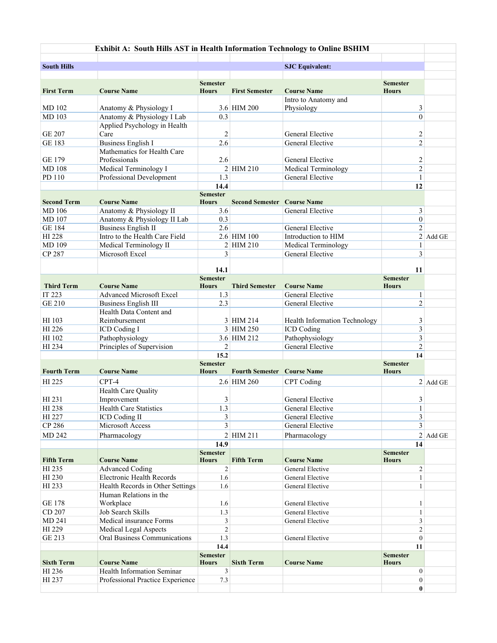| Exhibit A: South Hills AST in Health Information Technology to Online BSHIM |                                   |                                 |                                    |                                      |                                 |            |  |  |  |
|-----------------------------------------------------------------------------|-----------------------------------|---------------------------------|------------------------------------|--------------------------------------|---------------------------------|------------|--|--|--|
|                                                                             |                                   |                                 |                                    |                                      |                                 |            |  |  |  |
| <b>South Hills</b>                                                          |                                   |                                 |                                    | <b>SJC Equivalent:</b>               |                                 |            |  |  |  |
|                                                                             |                                   |                                 |                                    |                                      |                                 |            |  |  |  |
| <b>First Term</b>                                                           | <b>Course Name</b>                | <b>Semester</b><br><b>Hours</b> | <b>First Semester</b>              | <b>Course Name</b>                   | <b>Semester</b><br><b>Hours</b> |            |  |  |  |
|                                                                             |                                   |                                 |                                    | Intro to Anatomy and                 |                                 |            |  |  |  |
| MD 102                                                                      | Anatomy & Physiology I            |                                 | 3.6 HIM 200                        | Physiology                           | 3                               |            |  |  |  |
| MD 103                                                                      | Anatomy & Physiology I Lab        | 0.3                             |                                    |                                      | $\mathbf{0}$                    |            |  |  |  |
|                                                                             | Applied Psychology in Health      |                                 |                                    |                                      |                                 |            |  |  |  |
| <b>GE 207</b>                                                               | Care                              | $\overline{2}$                  |                                    | General Elective                     | $\overline{c}$                  |            |  |  |  |
| <b>GE 183</b>                                                               | <b>Business English I</b>         | 2.6                             |                                    | General Elective                     | $\overline{c}$                  |            |  |  |  |
|                                                                             | Mathematics for Health Care       |                                 |                                    |                                      |                                 |            |  |  |  |
| <b>GE 179</b>                                                               | Professionals                     | 2.6                             |                                    | General Elective                     | $\sqrt{2}$                      |            |  |  |  |
| <b>MD108</b>                                                                | Medical Terminology I             |                                 | 2 HIM 210                          | Medical Terminology                  | $\overline{2}$                  |            |  |  |  |
| PD 110                                                                      | Professional Development          | 1.3                             |                                    | General Elective                     | 1                               |            |  |  |  |
|                                                                             |                                   | 14.4<br><b>Semester</b>         |                                    |                                      | 12                              |            |  |  |  |
| <b>Second Term</b>                                                          | <b>Course Name</b>                | <b>Hours</b>                    | <b>Second Semester</b>             | <b>Course Name</b>                   |                                 |            |  |  |  |
| MD 106                                                                      | Anatomy & Physiology II           | 3.6                             |                                    | General Elective                     | 3                               |            |  |  |  |
| MD 107                                                                      | Anatomy & Physiology II Lab       | 0.3                             |                                    |                                      | $\boldsymbol{0}$                |            |  |  |  |
| <b>GE 184</b>                                                               | <b>Business English II</b>        | 2.6                             |                                    | General Elective                     | $\overline{c}$                  |            |  |  |  |
| HI 228                                                                      | Intro to the Health Care Field    |                                 | 2.6 HIM 100                        | Introduction to HIM                  |                                 | $2$ Add GE |  |  |  |
| MD 109                                                                      | Medical Terminology II            |                                 | 2 HIM 210                          | Medical Terminology                  | 1                               |            |  |  |  |
| CP 287                                                                      | Microsoft Excel                   | 3                               |                                    | General Elective                     | 3                               |            |  |  |  |
|                                                                             |                                   |                                 |                                    |                                      |                                 |            |  |  |  |
|                                                                             |                                   | 14.1                            |                                    |                                      | 11                              |            |  |  |  |
| <b>Third Term</b>                                                           | <b>Course Name</b>                | <b>Semester</b><br><b>Hours</b> | <b>Third Semester</b>              | <b>Course Name</b>                   | <b>Semester</b><br><b>Hours</b> |            |  |  |  |
| IT 223                                                                      | <b>Advanced Microsoft Excel</b>   | 1.3                             |                                    | General Elective                     | $\mathbf{1}$                    |            |  |  |  |
| <b>GE 210</b>                                                               | <b>Business English III</b>       | 2.3                             |                                    | General Elective                     | $\overline{2}$                  |            |  |  |  |
|                                                                             | Health Data Content and           |                                 |                                    |                                      |                                 |            |  |  |  |
| HI 103                                                                      | Reimbursement                     |                                 | 3 HIM 214                          | Health Information Technology        | 3                               |            |  |  |  |
| HI 226                                                                      | ICD Coding I                      |                                 | 3 HIM 250                          | ICD Coding                           | 3                               |            |  |  |  |
| HI 102                                                                      | Pathophysiology                   |                                 | 3.6 HIM 212                        | Pathophysiology                      | 3                               |            |  |  |  |
| HI 234                                                                      | Principles of Supervision         | 2                               |                                    | General Elective                     | $\overline{2}$                  |            |  |  |  |
|                                                                             |                                   | 15.2                            |                                    |                                      | 14                              |            |  |  |  |
|                                                                             |                                   | <b>Semester</b>                 |                                    |                                      | <b>Semester</b>                 |            |  |  |  |
| <b>Fourth Term</b>                                                          | <b>Course Name</b>                | <b>Hours</b>                    | <b>Fourth Semester Course Name</b> |                                      | <b>Hours</b>                    |            |  |  |  |
| HI 225                                                                      | CPT-4                             |                                 | 2.6 HIM 260                        | <b>CPT</b> Coding                    |                                 | $2$ Add GE |  |  |  |
|                                                                             | Health Care Quality               |                                 |                                    |                                      |                                 |            |  |  |  |
| HI 231                                                                      | Improvement                       | 3                               |                                    | General Elective                     | 3                               |            |  |  |  |
| HI 238                                                                      | <b>Health Care Statistics</b>     | 1.3                             |                                    | General Elective                     | $\mathbf{1}$<br>3               |            |  |  |  |
| HI 227<br>CP 286                                                            | ICD Coding II<br>Microsoft Access | 3<br>3                          |                                    | General Elective<br>General Elective | 3                               |            |  |  |  |
| MD 242                                                                      | Pharmacology                      |                                 | $2$ HIM 211                        | Pharmacology                         |                                 |            |  |  |  |
|                                                                             |                                   | 14.9                            |                                    |                                      | 14                              | $2$ Add GE |  |  |  |
|                                                                             |                                   | <b>Semester</b>                 |                                    |                                      | <b>Semester</b>                 |            |  |  |  |
| <b>Fifth Term</b>                                                           | <b>Course Name</b>                | <b>Hours</b>                    | <b>Fifth Term</b>                  | <b>Course Name</b>                   | <b>Hours</b>                    |            |  |  |  |
| HI 235                                                                      | <b>Advanced Coding</b>            | $\overline{2}$                  |                                    | General Elective                     | $\overline{c}$                  |            |  |  |  |
| HI 230                                                                      | Electronic Health Records         | 1.6                             |                                    | <b>General Elective</b>              | $\mathbf{1}$                    |            |  |  |  |
| HI 233                                                                      | Health Records in Other Settings  | 1.6                             |                                    | <b>General Elective</b>              | $\mathbf{1}$                    |            |  |  |  |
|                                                                             | Human Relations in the            |                                 |                                    |                                      |                                 |            |  |  |  |
| <b>GE 178</b>                                                               | Workplace                         | 1.6                             |                                    | General Elective                     | 1                               |            |  |  |  |
| CD 207                                                                      | Job Search Skills                 | 1.3                             |                                    | <b>General Elective</b>              | $\mathbf{1}$                    |            |  |  |  |
| MD 241                                                                      | Medical insurance Forms           | $\mathfrak{Z}$                  |                                    | General Elective                     | 3                               |            |  |  |  |
| HI 229                                                                      | <b>Medical Legal Aspects</b>      | $\overline{c}$                  |                                    |                                      | $\overline{c}$                  |            |  |  |  |
| GE 213                                                                      | Oral Business Communications      | 1.3                             |                                    | General Elective                     | $\mathbf{0}$                    |            |  |  |  |
|                                                                             |                                   | 14.4                            |                                    |                                      | 11                              |            |  |  |  |
| <b>Sixth Term</b>                                                           | <b>Course Name</b>                | <b>Semester</b><br><b>Hours</b> | <b>Sixth Term</b>                  | <b>Course Name</b>                   | <b>Semester</b><br><b>Hours</b> |            |  |  |  |
| HI 236                                                                      | Health Information Seminar        | 3                               |                                    |                                      | $\boldsymbol{0}$                |            |  |  |  |
| HI 237                                                                      | Professional Practice Experience  | 7.3                             |                                    |                                      | $\boldsymbol{0}$                |            |  |  |  |
|                                                                             |                                   |                                 |                                    |                                      | 0                               |            |  |  |  |